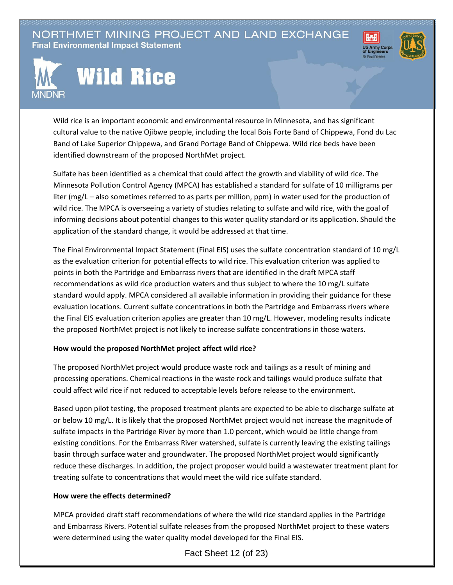NORTHMET MINING PROJECT AND LAND EXCHANGE **Final Environmental Impact Statement** 





## **Wild Rice**

Wild rice is an important economic and environmental resource in Minnesota, and has significant cultural value to the native Ojibwe people, including the local Bois Forte Band of Chippewa, Fond du Lac Band of Lake Superior Chippewa, and Grand Portage Band of Chippewa. Wild rice beds have been identified downstream of the proposed NorthMet project.

Sulfate has been identified as a chemical that could affect the growth and viability of wild rice. The Minnesota Pollution Control Agency (MPCA) has established a standard for sulfate of 10 milligrams per liter (mg/L – also sometimes referred to as parts per million, ppm) in water used for the production of wild rice. The MPCA is overseeing a variety of studies relating to sulfate and wild rice, with the goal of informing decisions about potential changes to this water quality standard or its application. Should the application of the standard change, it would be addressed at that time.

The Final Environmental Impact Statement (Final EIS) uses the sulfate concentration standard of 10 mg/L as the evaluation criterion for potential effects to wild rice. This evaluation criterion was applied to points in both the Partridge and Embarrass rivers that are identified in the draft MPCA staff recommendations as wild rice production waters and thus subject to where the 10 mg/L sulfate standard would apply. MPCA considered all available information in providing their guidance for these evaluation locations. Current sulfate concentrations in both the Partridge and Embarrass rivers where the Final EIS evaluation criterion applies are greater than 10 mg/L. However, modeling results indicate the proposed NorthMet project is not likely to increase sulfate concentrations in those waters.

## **How would the proposed NorthMet project affect wild rice?**

The proposed NorthMet project would produce waste rock and tailings as a result of mining and processing operations. Chemical reactions in the waste rock and tailings would produce sulfate that could affect wild rice if not reduced to acceptable levels before release to the environment.

Based upon pilot testing, the proposed treatment plants are expected to be able to discharge sulfate at or below 10 mg/L. It is likely that the proposed NorthMet project would not increase the magnitude of sulfate impacts in the Partridge River by more than 1.0 percent, which would be little change from existing conditions. For the Embarrass River watershed, sulfate is currently leaving the existing tailings basin through surface water and groundwater. The proposed NorthMet project would significantly reduce these discharges. In addition, the project proposer would build a wastewater treatment plant for treating sulfate to concentrations that would meet the wild rice sulfate standard.

## **How were the effects determined?**

MPCA provided draft staff recommendations of where the wild rice standard applies in the Partridge and Embarrass Rivers. Potential sulfate releases from the proposed NorthMet project to these waters were determined using the water quality model developed for the Final EIS.

Fact Sheet 12 (of 23)